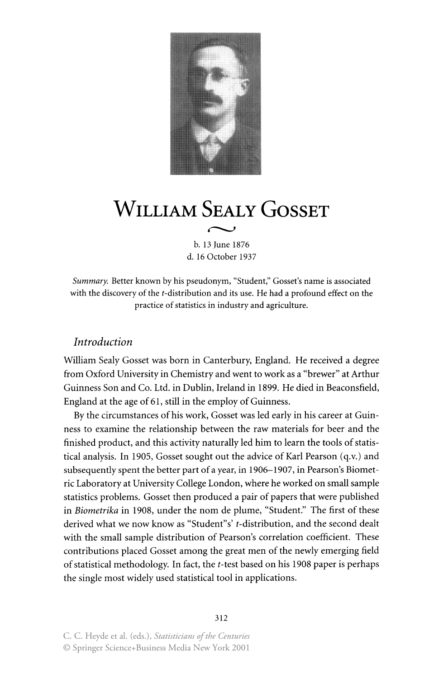

# **WILLIAM SEALY GOSSET**   $\sim$

b. 13 June 1876 d. 16 October 1937

Summary. Better known by his pseudonym, "Student," Gosset's name is associated with the discovery of the t-distribution and its use. He had a profound effect on the practice of statistics in industry and agriculture.

## *Introduction*

William Sealy Gosset was born in Canterbury, England. He received a degree from Oxford University in Chemistry and went to work as a "brewer" at Arthur Guinness Son and Co. Ltd. in Dublin, Ireland in 1899. He died in Beaconsfield, England at the age of 61, still in the employ of Guinness.

By the circumstances of his work, Gosset was led early in his career at Guinness to examine the relationship between the raw materials for beer and the finished product, and this activity naturally led him to learn the tools of statistical analysis. In 1905, Gosset sought out the advice of Karl Pearson (q.v.) and subsequently spent the better part of a year, in 1906-1907, in Pearson's Biometric Laboratory at University College London, where he worked on small sample statistics problems. Gosset then produced a pair of papers that were published in *Biometrika* in 1908, under the nom de plume, "Student." The first of these derived what we now know as "Student"s' t-distribution, and the second dealt with the small sample distribution of Pearson's correlation coefficient. These contributions placed Gosset among the great men of the newly emerging field of statistical methodology. In fact, the t-test based on his 1908 paper is perhaps the single most widely used statistical tool in applications.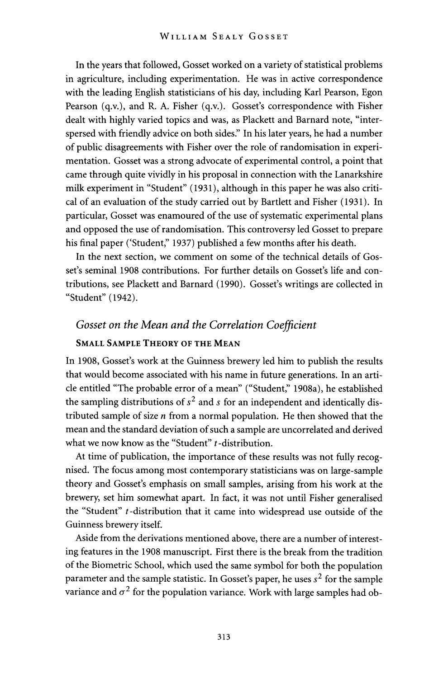In the years that followed, Gosset worked on a variety of statistical problems in agriculture, including experimentation. He was in active correspondence with the leading English statisticians of his day, including Karl Pearson, Egon Pearson (q.v.), and R. A. Fisher (q.v.). Gosset's correspondence with Fisher dealt with highly varied topics and was, as Plackett and Barnard note, "interspersed with friendly advice on both sides." In his later years, he had a number of public disagreements with Fisher over the role of randomisation in experimentation. Gosset was a strong advocate of experimental control, a point that came through quite vividly in his proposal in connection with the Lanarkshire milk experiment in "Student" (1931), although in this paper he was also critical of an evaluation of the study carried out by Bartlett and Fisher (1931). In particular, Gosset was enamoured of the use of systematic experimental plans and opposed the use of randomisation. This controversy led Gosset to prepare his final paper ('Student," 1937) published a few months after his death.

In the next section, we comment on some of the technical details of Gosset's seminal 1908 contributions. For further details on Gosset's life and contributions, see Plackett and Barnard (1990). Gosset's writings are collected in "Student" (1942).

# *Gosset on the Mean and the Correlation Coefficient*

#### SMALL SAMPLE THEORY OF THE MEAN

In 1908, Gosset's work at the Guinness brewery led him to publish the results that would become associated with his name in future generations. In an article entitled "The probable error of a mean" ("Student;' 1908a), he established the sampling distributions of  $s^2$  and  $s$  for an independent and identically distributed sample of size *n* from a normal population. He then showed that the mean and the standard deviation of such a sample are uncorrelated and derived what we now know as the "Student" *t*-distribution.

At time of publication, the importance of these results was not fully recognised. The focus among most contemporary statisticians was on large-sample theory and Gosset's emphasis on small samples, arising from his work at the brewery, set him somewhat apart. In fact, it was not until Fisher generalised the "Student" t-distribution that it came into widespread use outside of the Guinness brewery itself.

Aside from the derivations mentioned above, there are a number of interesting features in the 1908 manuscript. First there is the break from the tradition of the Biometric School, which used the same symbol for both the population parameter and the sample statistic. In Gosset's paper, he uses  $s<sup>2</sup>$  for the sample variance and  $\sigma^2$  for the population variance. Work with large samples had ob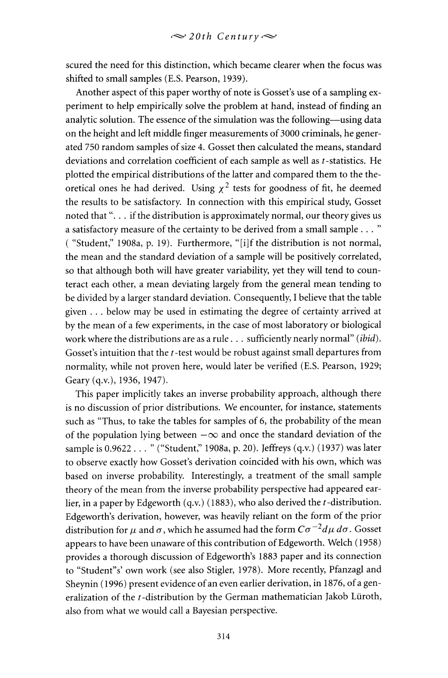scured the need for this distinction, which became clearer when the focus was shifted to small samples (E.S. Pearson, 1939).

Another aspect of this paper worthy of note is Gosset's use of a sampling experiment to help empirically solve the problem at hand, instead of finding an analytic solution. The essence of the simulation was the following—using data on the height and left middle finger measurements of 3000 criminals, he generated 750 random samples of size 4. Gosset then calculated the means, standard deviations and correlation coefficient of each sample as well as *t* -statistics. He plotted the empirical distributions of the latter and compared them to the theoretical ones he had derived. Using  $\chi^2$  tests for goodness of fit, he deemed the results to be satisfactory. In connection with this empirical study, Gosset noted that ". . . if the distribution is approximately normal, our theory gives us a satisfactory measure of the certainty to be derived from a small sample ... " ( "Student," 1908a, p. 19). Furthermore, "[i]f the distribution is not normal, the mean and the standard deviation of a sample will be positively correlated, so that although both will have greater variability, yet they will tend to counteract each other, a mean deviating largely from the general mean tending to be divided by a larger standard deviation. Consequently, I believe that the table given ... below may be used in estimating the degree of certainty arrived at by the mean of a few experiments, in the case of most laboratory or biological work where the distributions are as a rule ... sufficiently nearly normal" *(ibid).*  Gosset's intuition that the  $t$ -test would be robust against small departures from normality, while not proven here, would later be verified (E.S. Pearson, 1929; Geary (q.v.), 1936, 1947).

This paper implicitly takes an inverse probability approach, although there is no discussion of prior distributions. We encounter, for instance, statements such as "Thus, to take the tables for samples of 6, the probability of the mean of the population lying between  $-\infty$  and once the standard deviation of the sample is 0.9622 . . . " ("Student," 1908a, p. 20). Jeffreys (q.v.) (1937) was later to observe exactly how Gosset's derivation coincided with his own, which was based on inverse probability. Interestingly, a treatment of the small sample theory of the mean from the inverse probability perspective had appeared earlier, in a paper by Edgeworth (q.v.) (1883), who also derived the  $t$ -distribution. Edgeworth's derivation, however, was heavily reliant on the form of the prior distribution for  $\mu$  and  $\sigma$ , which he assumed had the form  $C\sigma^{-2}d\mu$   $d\sigma$ . Gosset appears to have been unaware of this contribution of Edgeworth. Welch (1958) provides a thorough discussion of Edgeworth's 1883 paper and its connection to "Student"s' own work (see also Stigler, 1978). More recently, Pfanzagl and Sheynin (1996) present evidence of an even earlier derivation, in 1876, of a generalization of the *t*-distribution by the German mathematician Jakob Lüroth, also from what we would call a Bayesian perspective.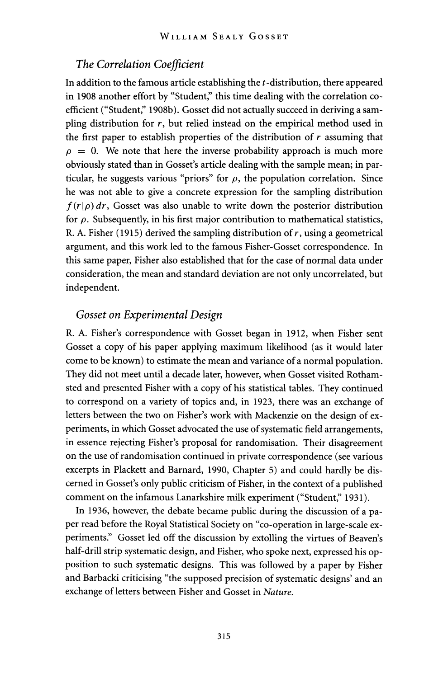## *The Correlation Coefficient*

In addition to the famous article establishing the  $t$ -distribution, there appeared in 1908 another effort by "Student;' this time dealing with the correlation coefficient ("Student," 1908b). Gosset did not actually succeed in deriving a sampling distribution for *r,* but relied instead on the empirical method used in the first paper to establish properties of the distribution of *r* assuming that  $\rho = 0$ . We note that here the inverse probability approach is much more obviously stated than in Gosset's article dealing with the sample mean; in particular, he suggests various "priors" for  $\rho$ , the population correlation. Since he was not able to give a concrete expression for the sampling distribution *f(rlp) dr,* Gosset was also unable to write down the posterior distribution for  $\rho$ . Subsequently, in his first major contribution to mathematical statistics, R. A. Fisher (1915) derived the sampling distribution of *r,* using a geometrical argument, and this work led to the famous Fisher-Gosset correspondence. In this same paper, Fisher also established that for the case of normal data under consideration, the mean and standard deviation are not only uncorrelated, but independent.

## *Gosset on Experimental Design*

R. A. Fisher's correspondence with Gosset began in 1912, when Fisher sent Gosset a copy of his paper applying maximum likelihood (as it would later come to be known) to estimate the mean and variance of a normal population. They did not meet until a decade later, however, when Gosset visited Rothamsted and presented Fisher with a copy of his statistical tables. They continued to correspond on a variety of topics and, in 1923, there was an exchange of letters between the two on Fisher's work with Mackenzie on the design of experiments, in which Gosset advocated the use of systematic field arrangements, in essence rejecting Fisher's proposal for randomisation. Their disagreement on the use of randomisation continued in private correspondence (see various excerpts in Plackett and Barnard, 1990, Chapter 5) and could hardly be discerned in Gosset's only public criticism of Fisher, in the context of a published comment on the infamous Lanarkshire milk experiment ("Student;' 1931).

In 1936, however, the debate became public during the discussion of a paper read before the Royal Statistical Society on "co-operation in large-scale experiments." Gosset led off the discussion by extolling the virtues of Beaven's half-drill strip systematic design, and Fisher, who spoke next, expressed his opposition to such systematic designs. This was followed by a paper by Fisher and Barbacki criticising "the supposed precision of systematic designs' and an exchange of letters between Fisher and Gosset in *Nature.*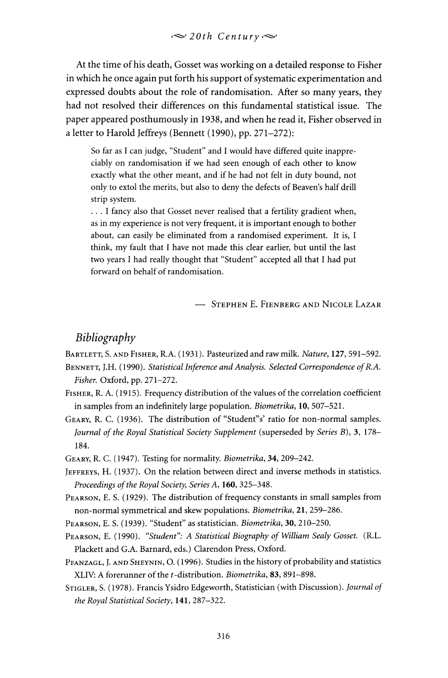At the time of his death, Gosset was working on a detailed response to Fisher in which he once again put forth his support of systematic experimentation and expressed doubts about the role of randomisation. After so many years, they had not resolved their differences on this fundamental statistical issue. The paper appeared posthumously in 1938, and when he read it, Fisher observed in a letter to Harold Jeffreys (Bennett (1990), pp. 27l-272):

So far as I can judge, "Student" and I would have differed quite inappreciably on randomisation if we had seen enough of each other to know exactly what the other meant, and if he had not felt in duty bound, not only to extol the merits, but also to deny the defects of Beaven's half drill strip system.

. . . I fancy also that Gosset never realised that a fertility gradient when, as in my experience is not very frequent, it is important enough to bother about, can easily be eliminated from a randomised experiment. It is, I think, my fault that I have not made this clear earlier, but until the last two years I had really thought that "Student" accepted all that I had put forward on behalf of randomisation.

- STEPHEN E. FIENBERG AND NICOLE LAZAR

#### *Bibliography*

BARTLETT, S. AND FISHER, RA. (1931). Pasteurized and raw milk. *Nature,* 127, 591-592.

- BENNETT, J.H. (1990). *Statistical Inference and Analysis. Selected Correspondence of R.A. Fisher.* Oxford, pp. 271-272.
- FISHER, R A. (1915). Frequency distribution of the values of the correlation coefficient in samples from an indefinitely large population. *Biometrika*, 10, 507-521.
- GEARY, R. C. (1936). The distribution of "Student"s' ratio for non-normal samples. *Journal of the Royal Statistical Society Supplement* (superseded by *Series B),* 3, 178- 184.
- GEARY, R C. (1947). Testing for normality. *Biometrika,* 34, 209-242.
- JEFFREYS, H. (1937). On the relation between direct and inverse methods in statistics. *Proceedings of the Royal Society, Series A,* 160, 325-348.
- PEARSON, E. S. (1929). The distribution of frequency constants in small samples from non-normal symmetrical and skew populations. *Biometrika,* 21, 259-286.
- PEARSON, E. s. (1939). "Student" as statistician. *Biometrika,* 30, 210-250.
- PEARSON, E. (1990). *"Student": A Statistical Biography of William Sealy Gosset.* (RL. Plackett and G.A. Barnard, eds.) Clarendon Press, Oxford.
- PFANZAGL, J. AND SHEYNIN, O. (1996). Studies in the history of probability and statistics XLIV: A forerunner of the t-distribution. *Biometrika,* 83, 891-898.
- STIGLER, S. (1978). Francis Ysidro Edgeworth, Statistician (with Discussion). *Journal of the Royal Statistical Society,* 141, 287-322.